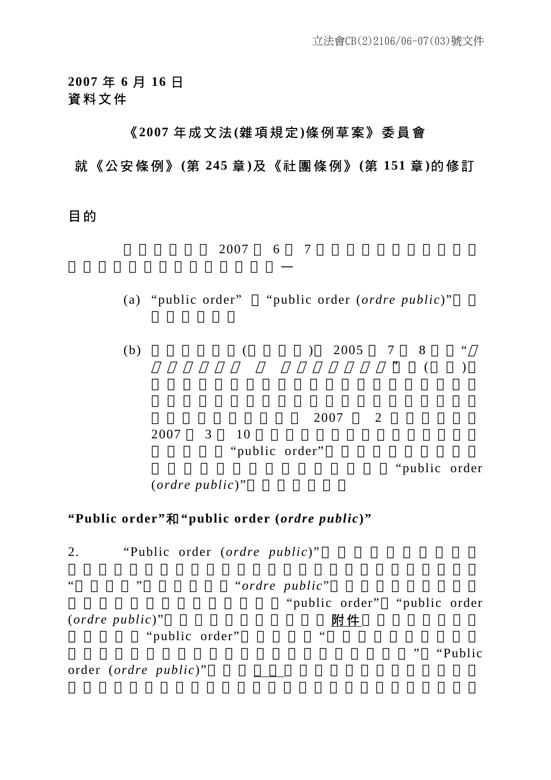**2007** 年 **6** 月 **16** 日 資料文件

## 《 **2007** 年成文法 **(**雜項規定 **)**條例草案》委員會

## 就《公安條例》 **(**第 **245** 章 **)**及《社團條例》 **(**第 **151** 章 **)**的修訂

目 的

 $2007$  6 7

(a) "public order" "public order (*ordre public*)"

(b)  $(8.8 \times 10^{-10})$   $2005$  7 8  $\cdot\cdot\cdot$  $\mathbb{Z}^n$  (and )

 $2007$  2  $2007$  3 10

"public order"

"public order

(*ordre public*)"

求當局就以下事項提供書面回應—

#### **"Public order"**和 **"public order (***ordre public***)"**

2. "Public order (*ordre public*)" a matrix  $\ddot{a}$  ,  $\ddot{b}$  "ordre public" "public order" "public order" (*ordre public*)" 附件 "public order" " "Public order (*ordre public*)"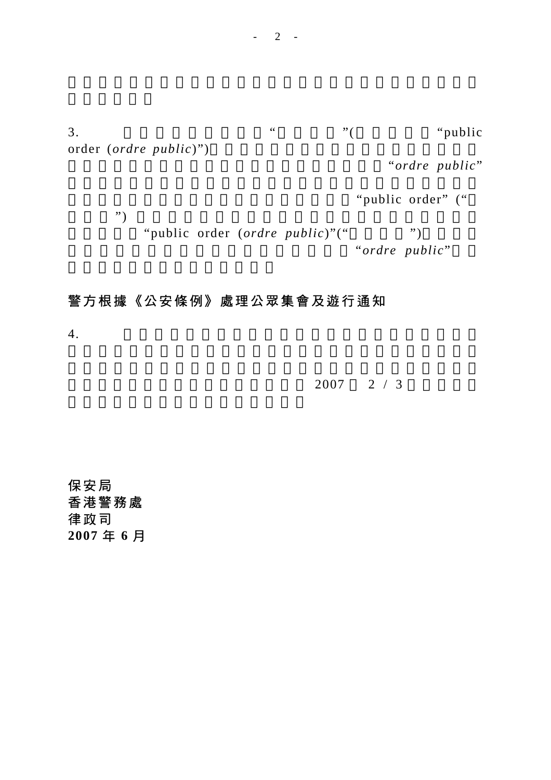$3.$   $\cdots$   $\cdots$   $\cdots$   $\cdots$   $\cdots$   $\cdots$   $\cdots$   $\cdots$   $\cdots$   $\cdots$   $\cdots$   $\cdots$   $\cdots$   $\cdots$   $\cdots$   $\cdots$   $\cdots$   $\cdots$   $\cdots$   $\cdots$   $\cdots$   $\cdots$   $\cdots$   $\cdots$   $\cdots$   $\cdots$   $\cdots$   $\cdots$   $\cdots$   $\cdots$   $\cdots$   $\cdots$   $\cdots$   $\cdots$   $\cdots$   $\cdots$  order (*ordre public*)")

"ordre public"

"public order" ("

 $\left( \begin{array}{c} n \ j \end{array} \right)$ "public order (*ordre public*)"("
") "ordre public"

## 警方根據《公安條例》處理公眾集會及遊行通知

 $4.$ 

 $2007$  2 / 3

保安局 香港警務處 律政司 **2007** 年 **6** 月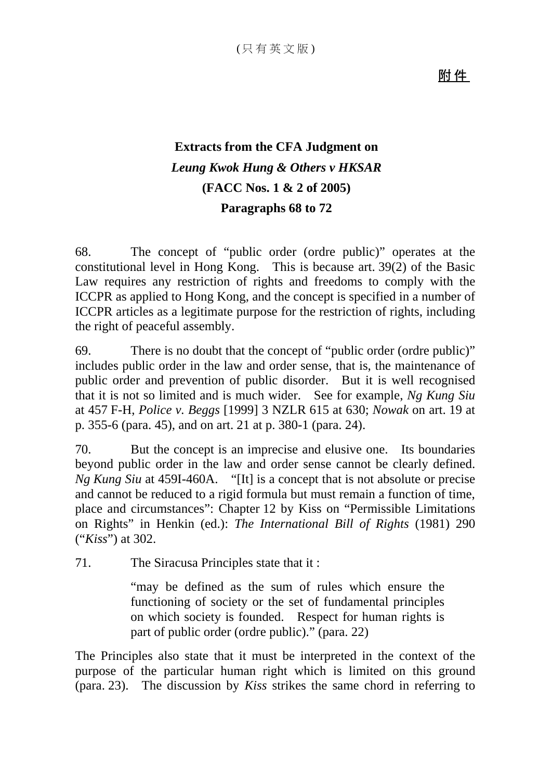附 件

# **Extracts from the CFA Judgment on**  *Leung Kwok Hung & Others v HKSAR* **(FACC Nos. 1 & 2 of 2005) Paragraphs 68 to 72**

68. The concept of "public order (ordre public)" operates at the constitutional level in Hong Kong. This is because art. 39(2) of the Basic Law requires any restriction of rights and freedoms to comply with the ICCPR as applied to Hong Kong, and the concept is specified in a number of ICCPR articles as a legitimate purpose for the restriction of rights, including the right of peaceful assembly.

69. There is no doubt that the concept of "public order (ordre public)" includes public order in the law and order sense, that is, the maintenance of public order and prevention of public disorder. But it is well recognised that it is not so limited and is much wider. See for example, *Ng Kung Siu* at 457 F-H, *Police v. Beggs* [1999] 3 NZLR 615 at 630; *Nowak* on art. 19 at p. 355-6 (para. 45), and on art. 21 at p. 380-1 (para. 24).

70. But the concept is an imprecise and elusive one. Its boundaries beyond public order in the law and order sense cannot be clearly defined. *Ng Kung Siu* at 459I-460A. "[It] is a concept that is not absolute or precise and cannot be reduced to a rigid formula but must remain a function of time, place and circumstances": Chapter 12 by Kiss on "Permissible Limitations on Rights" in Henkin (ed.): *The International Bill of Rights* (1981) 290 ("*Kiss*") at 302.

71. The Siracusa Principles state that it :

"may be defined as the sum of rules which ensure the functioning of society or the set of fundamental principles on which society is founded. Respect for human rights is part of public order (ordre public)." (para. 22)

The Principles also state that it must be interpreted in the context of the purpose of the particular human right which is limited on this ground (para. 23). The discussion by *Kiss* strikes the same chord in referring to